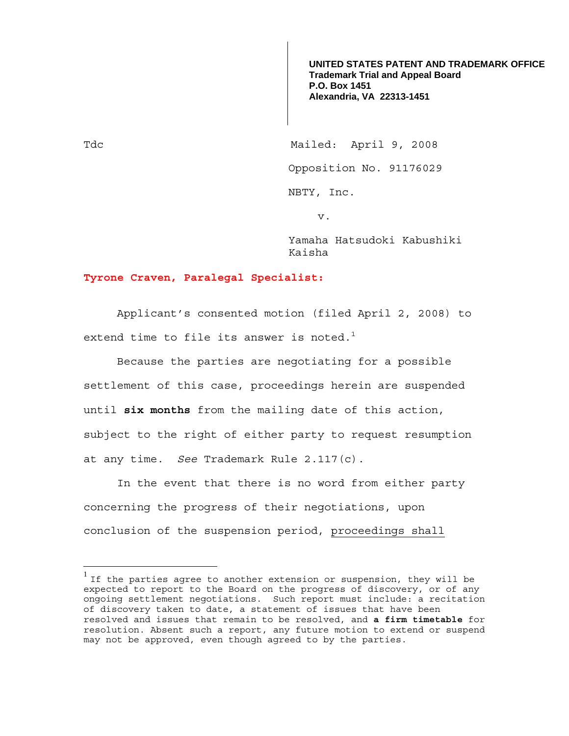**UNITED STATES PATENT AND TRADEMARK OFFICE Trademark Trial and Appeal Board P.O. Box 1451 Alexandria, VA 22313-1451**

Tdc Mailed: April 9, 2008 Opposition No. 91176029 NBTY, Inc.

v.

Yamaha Hatsudoki Kabushiki Kaisha

## **Tyrone Craven, Paralegal Specialist:**

 Applicant's consented motion (filed April 2, 2008) to extend time to file its answer is noted.<sup>1</sup>

Because the parties are negotiating for a possible settlement of this case, proceedings herein are suspended until **six months** from the mailing date of this action, subject to the right of either party to request resumption at any time. *See* Trademark Rule 2.117(c).

 In the event that there is no word from either party concerning the progress of their negotiations, upon conclusion of the suspension period, proceedings shall

 $\overline{a}$ 

<sup>&</sup>lt;sup>1</sup> If the parties agree to another extension or suspension, they will be expected to report to the Board on the progress of discovery, or of any ongoing settlement negotiations. Such report must include: a recitation of discovery taken to date, a statement of issues that have been resolved and issues that remain to be resolved, and **a firm timetable** for resolution. Absent such a report, any future motion to extend or suspend may not be approved, even though agreed to by the parties.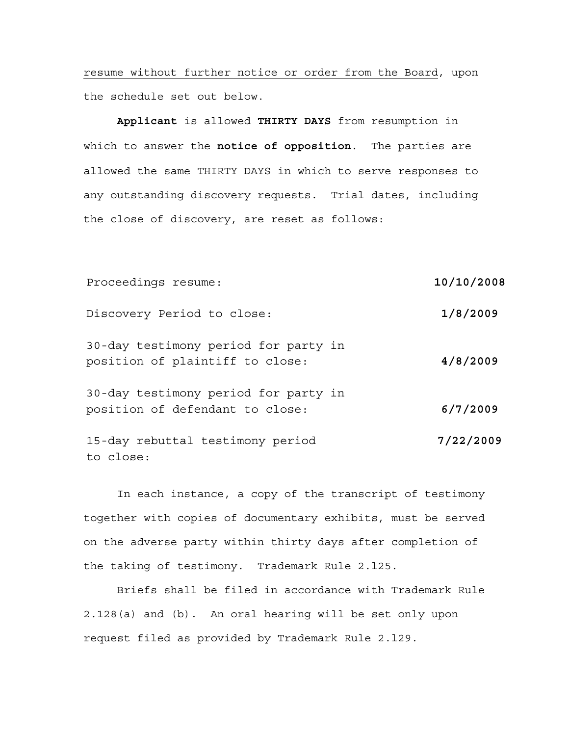resume without further notice or order from the Board, upon the schedule set out below.

**Applicant** is allowed **THIRTY DAYS** from resumption in which to answer the **notice of opposition**. The parties are allowed the same THIRTY DAYS in which to serve responses to any outstanding discovery requests. Trial dates, including the close of discovery, are reset as follows:

| Proceedings resume:                                                     | 10/10/2008 |
|-------------------------------------------------------------------------|------------|
| Discovery Period to close:                                              | 1/8/2009   |
| 30-day testimony period for party in<br>position of plaintiff to close: | 4/8/2009   |
| 30-day testimony period for party in<br>position of defendant to close: | 6/7/2009   |
| 15-day rebuttal testimony period<br>to close:                           | 7/22/2009  |

In each instance, a copy of the transcript of testimony together with copies of documentary exhibits, must be served on the adverse party within thirty days after completion of the taking of testimony. Trademark Rule 2.l25.

Briefs shall be filed in accordance with Trademark Rule 2.128(a) and (b). An oral hearing will be set only upon request filed as provided by Trademark Rule 2.l29.